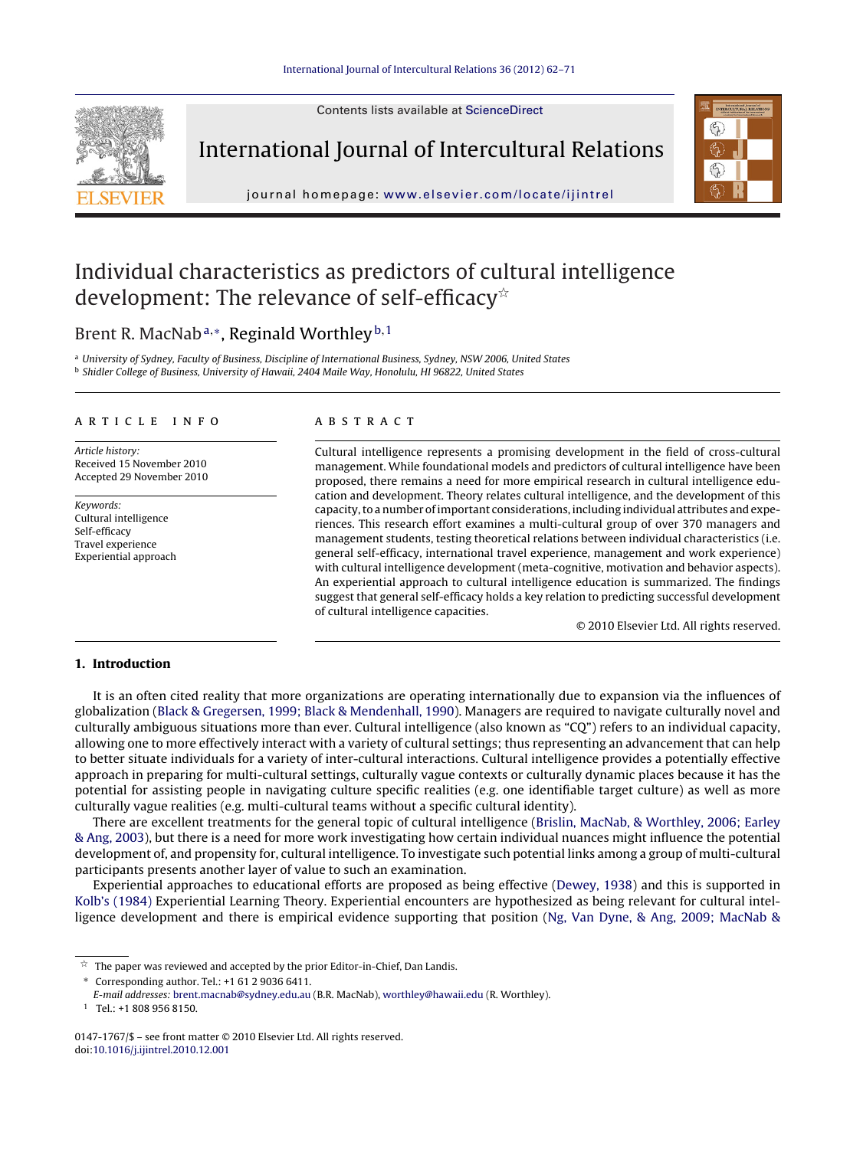Contents lists available at [ScienceDirect](http://www.sciencedirect.com/science/journal/01471767)



International Journal of Intercultural Relations



journal homepage: [www.elsevier.com/locate/ijintrel](http://www.elsevier.com/locate/ijintrel)

## Individual characteristics as predictors of cultural intelligence development: The relevance of self-efficacy ${}^{\scriptscriptstyle\star}$

### Brent R. MacNab<sup>a,∗</sup>, Reginald Worthley<sup>b,1</sup>

a University of Sydney, Faculty of Business, Discipline of International Business, Sydney, NSW 2006, United States <sup>b</sup> Shidler College of Business, University of Hawaii, 2404 Maile Way, Honolulu, HI 96822, United States

#### a r t i c l e i n f o

Article history: Received 15 November 2010 Accepted 29 November 2010

Keywords: Cultural intelligence Self-efficacy Travel experience Experiential approach

#### A B S T R A C T

Cultural intelligence represents a promising development in the field of cross-cultural management. While foundational models and predictors of cultural intelligence have been proposed, there remains a need for more empirical research in cultural intelligence education and development. Theory relates cultural intelligence, and the development of this capacity, to a number of important considerations, including individual attributes and experiences. This research effort examines a multi-cultural group of over 370 managers and management students, testing theoretical relations between individual characteristics (i.e. general self-efficacy, international travel experience, management and work experience) with cultural intelligence development (meta-cognitive, motivation and behavior aspects). An experiential approach to cultural intelligence education is summarized. The findings suggest that general self-efficacy holds a key relation to predicting successful development of cultural intelligence capacities.

© 2010 Elsevier Ltd. All rights reserved.

#### **1. Introduction**

It is an often cited reality that more organizations are operating internationally due to expansion via the influences of globalization ([Black](#page--1-0) [&](#page--1-0) [Gregersen,](#page--1-0) [1999;](#page--1-0) [Black](#page--1-0) [&](#page--1-0) [Mendenhall,](#page--1-0) [1990\).](#page--1-0) Managers are required to navigate culturally novel and culturally ambiguous situations more than ever. Cultural intelligence (also known as "CQ") refers to an individual capacity, allowing one to more effectively interact with a variety of cultural settings; thus representing an advancement that can help to better situate individuals for a variety of inter-cultural interactions. Cultural intelligence provides a potentially effective approach in preparing for multi-cultural settings, culturally vague contexts or culturally dynamic places because it has the potential for assisting people in navigating culture specific realities (e.g. one identifiable target culture) as well as more culturally vague realities (e.g. multi-cultural teams without a specific cultural identity).

There are excellent treatments for the general topic of cultural intelligence ([Brislin,](#page--1-0) [MacNab,](#page--1-0) [&](#page--1-0) [Worthley,](#page--1-0) [2006;](#page--1-0) [Earley](#page--1-0) [&](#page--1-0) [Ang,](#page--1-0) [2003\),](#page--1-0) but there is a need for more work investigating how certain individual nuances might influence the potential development of, and propensity for, cultural intelligence. To investigate such potential links among a group of multi-cultural participants presents another layer of value to such an examination.

Experiential approaches to educational efforts are proposed as being effective [\(Dewey,](#page--1-0) [1938\)](#page--1-0) and this is supported in [Kolb's](#page--1-0) [\(1984\)](#page--1-0) Experiential Learning Theory. Experiential encounters are hypothesized as being relevant for cultural intelligence development and there is empirical evidence supporting that position [\(Ng,](#page--1-0) [Van](#page--1-0) [Dyne,](#page--1-0) [&](#page--1-0) [Ang,](#page--1-0) [2009;](#page--1-0) [MacNab](#page--1-0) [&](#page--1-0)

∗ Corresponding author. Tel.: +1 61 2 9036 6411.

 $\vec{\mathbb{M}}$ The paper was reviewed and accepted by the prior Editor-in-Chief, Dan Landis.

E-mail addresses: [brent.macnab@sydney.edu.au](mailto:brent.macnab@sydney.edu.au) (B.R. MacNab), [worthley@hawaii.edu](mailto:worthley@hawaii.edu) (R. Worthley).

 $1$  Tel.: +1 808 956 8150.

<sup>0147-1767/\$</sup> – see front matter © 2010 Elsevier Ltd. All rights reserved. doi:[10.1016/j.ijintrel.2010.12.001](dx.doi.org/10.1016/j.ijintrel.2010.12.001)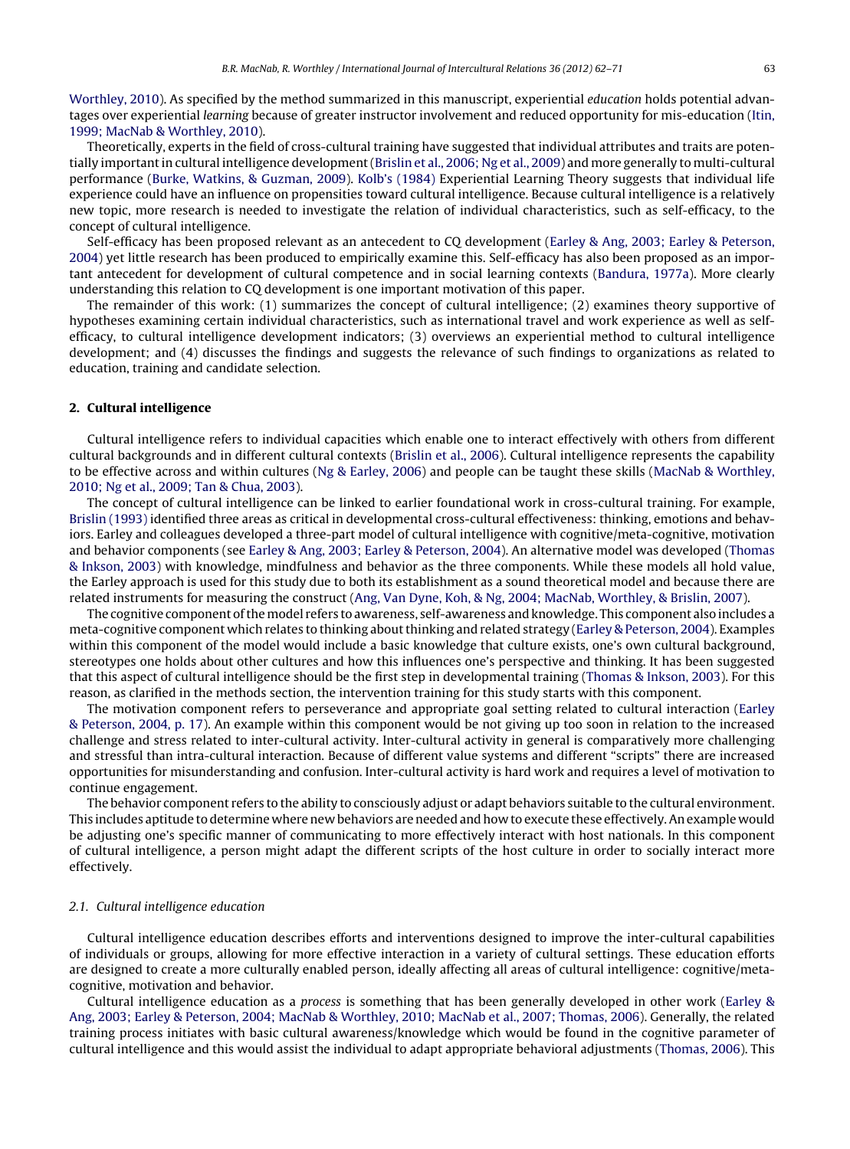[Worthley,](#page--1-0) [2010\).](#page--1-0) As specified by the method summarized in this manuscript, experiential education holds potential advantages over experiential learning because of greater instructor involvement and reduced opportunity for mis-education [\(Itin,](#page--1-0) [1999;](#page--1-0) [MacNab](#page--1-0) [&](#page--1-0) [Worthley,](#page--1-0) [2010\).](#page--1-0)

Theoretically, experts in the field of cross-cultural training have suggested that individual attributes and traits are poten-tially important in cultural intelligence development [\(Brislin](#page--1-0) et [al.,](#page--1-0) [2006;](#page--1-0) [Ng](#page--1-0) et al., [2009\)](#page--1-0) and more generally to multi-cultural performance [\(Burke,](#page--1-0) [Watkins,](#page--1-0) [&](#page--1-0) [Guzman,](#page--1-0) [2009\).](#page--1-0) [Kolb's](#page--1-0) [\(1984\)](#page--1-0) Experiential Learning Theory suggests that individual life experience could have an influence on propensities toward cultural intelligence. Because cultural intelligence is a relatively new topic, more research is needed to investigate the relation of individual characteristics, such as self-efficacy, to the concept of cultural intelligence.

Self-efficacy has been proposed relevant as an antecedent to CQ development ([Earley](#page--1-0) [&](#page--1-0) [Ang,](#page--1-0) [2003;](#page--1-0) [Earley](#page--1-0) [&](#page--1-0) [Peterson,](#page--1-0) [2004\)](#page--1-0) yet little research has been produced to empirically examine this. Self-efficacy has also been proposed as an important antecedent for development of cultural competence and in social learning contexts [\(Bandura,](#page--1-0) [1977a\).](#page--1-0) More clearly understanding this relation to CQ development is one important motivation of this paper.

The remainder of this work: (1) summarizes the concept of cultural intelligence; (2) examines theory supportive of hypotheses examining certain individual characteristics, such as international travel and work experience as well as selfefficacy, to cultural intelligence development indicators; (3) overviews an experiential method to cultural intelligence development; and (4) discusses the findings and suggests the relevance of such findings to organizations as related to education, training and candidate selection.

#### **2. Cultural intelligence**

Cultural intelligence refers to individual capacities which enable one to interact effectively with others from different cultural backgrounds and in different cultural contexts [\(Brislin](#page--1-0) et [al.,](#page--1-0) [2006\).](#page--1-0) Cultural intelligence represents the capability to be effective across and within cultures [\(Ng](#page--1-0) [&](#page--1-0) [Earley,](#page--1-0) [2006\)](#page--1-0) and people can be taught these skills [\(MacNab](#page--1-0) [&](#page--1-0) [Worthley,](#page--1-0) [2010;](#page--1-0) [Ng](#page--1-0) et [al.,](#page--1-0) [2009;](#page--1-0) [Tan](#page--1-0) [&](#page--1-0) [Chua,](#page--1-0) [2003\).](#page--1-0)

The concept of cultural intelligence can be linked to earlier foundational work in cross-cultural training. For example, [Brislin](#page--1-0) [\(1993\)](#page--1-0) identified three areas as critical in developmental cross-cultural effectiveness: thinking, emotions and behaviors. Earley and colleagues developed a three-part model of cultural intelligence with cognitive/meta-cognitive, motivation and behavior components (see [Earley](#page--1-0) [&](#page--1-0) [Ang,](#page--1-0) [2003;](#page--1-0) [Earley](#page--1-0) [&](#page--1-0) [Peterson,](#page--1-0) [2004\).](#page--1-0) An alternative model was developed [\(Thomas](#page--1-0) [&](#page--1-0) [Inkson,](#page--1-0) [2003\)](#page--1-0) with knowledge, mindfulness and behavior as the three components. While these models all hold value, the Earley approach is used for this study due to both its establishment as a sound theoretical model and because there are related instruments for measuring the construct ([Ang,](#page--1-0) [Van](#page--1-0) [Dyne,](#page--1-0) [Koh,](#page--1-0) [&](#page--1-0) [Ng,](#page--1-0) [2004;](#page--1-0) [MacNab,](#page--1-0) [Worthley,](#page--1-0) [&](#page--1-0) [Brislin,](#page--1-0) [2007\).](#page--1-0)

The cognitive component of the model refers to awareness, self-awareness and knowledge. This component also includes a meta-cognitive component which relates to thinking about thinking and related strategy [\(Earley](#page--1-0) [&](#page--1-0) [Peterson,](#page--1-0) [2004\).](#page--1-0) Examples within this component of the model would include a basic knowledge that culture exists, one's own cultural background, stereotypes one holds about other cultures and how this influences one's perspective and thinking. It has been suggested that this aspect of cultural intelligence should be the first step in developmental training [\(Thomas](#page--1-0) [&](#page--1-0) [Inkson,](#page--1-0) [2003\).](#page--1-0) For this reason, as clarified in the methods section, the intervention training for this study starts with this component.

The motivation component refers to perseverance and appropriate goal setting related to cultural interaction ([Earley](#page--1-0) [&](#page--1-0) [Peterson,](#page--1-0) [2004,](#page--1-0) [p.](#page--1-0) [17\).](#page--1-0) An example within this component would be not giving up too soon in relation to the increased challenge and stress related to inter-cultural activity. Inter-cultural activity in general is comparatively more challenging and stressful than intra-cultural interaction. Because of different value systems and different "scripts" there are increased opportunities for misunderstanding and confusion. Inter-cultural activity is hard work and requires a level of motivation to continue engagement.

The behavior component refers to the ability to consciously adjust or adapt behaviors suitable to the cultural environment. This includes aptitude to determine where new behaviors are needed and how to execute these effectively. An example would be adjusting one's specific manner of communicating to more effectively interact with host nationals. In this component of cultural intelligence, a person might adapt the different scripts of the host culture in order to socially interact more effectively.

#### 2.1. Cultural intelligence education

Cultural intelligence education describes efforts and interventions designed to improve the inter-cultural capabilities of individuals or groups, allowing for more effective interaction in a variety of cultural settings. These education efforts are designed to create a more culturally enabled person, ideally affecting all areas of cultural intelligence: cognitive/metacognitive, motivation and behavior.

Cultural intelligence education as a process is something that has been generally developed in other work ([Earley](#page--1-0) [&](#page--1-0) [Ang,](#page--1-0) [2003;](#page--1-0) [Earley](#page--1-0) [&](#page--1-0) [Peterson,](#page--1-0) [2004;](#page--1-0) [MacNab](#page--1-0) [&](#page--1-0) [Worthley,](#page--1-0) [2010;](#page--1-0) [MacNab](#page--1-0) et [al.,](#page--1-0) [2007;](#page--1-0) [Thomas,](#page--1-0) [2006\).](#page--1-0) Generally, the related training process initiates with basic cultural awareness/knowledge which would be found in the cognitive parameter of cultural intelligence and this would assist the individual to adapt appropriate behavioral adjustments ([Thomas,](#page--1-0) [2006\).](#page--1-0) This